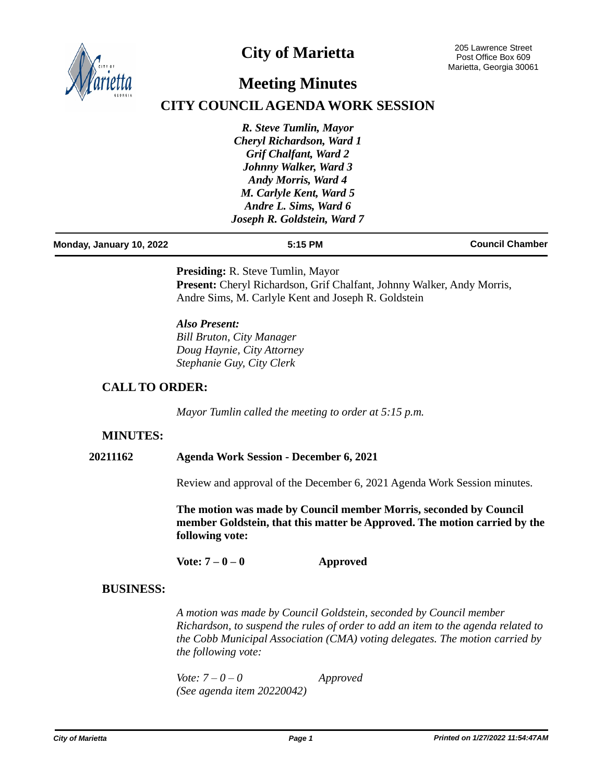

# **City of Marietta**

# **Meeting Minutes**

## **CITY COUNCIL AGENDA WORK SESSION**

*R. Steve Tumlin, Mayor Cheryl Richardson, Ward 1 Grif Chalfant, Ward 2 Johnny Walker, Ward 3 Andy Morris, Ward 4 M. Carlyle Kent, Ward 5 Andre L. Sims, Ward 6 Joseph R. Goldstein, Ward 7*

| Monday, January 10, 2022 | 5:15 PM | <b>Council Chamber</b> |
|--------------------------|---------|------------------------|
|                          |         |                        |

**Presiding:** R. Steve Tumlin, Mayor Present: Cheryl Richardson, Grif Chalfant, Johnny Walker, Andy Morris, Andre Sims, M. Carlyle Kent and Joseph R. Goldstein

*Also Present: Bill Bruton, City Manager Doug Haynie, City Attorney Stephanie Guy, City Clerk*

#### **CALL TO ORDER:**

*Mayor Tumlin called the meeting to order at 5:15 p.m.*

### **MINUTES:**

#### **20211162 Agenda Work Session - December 6, 2021**

Review and approval of the December 6, 2021 Agenda Work Session minutes.

**The motion was made by Council member Morris, seconded by Council member Goldstein, that this matter be Approved. The motion carried by the following vote:**

**Vote: 7 – 0 – 0 Approved** 

#### **BUSINESS:**

*A motion was made by Council Goldstein, seconded by Council member Richardson, to suspend the rules of order to add an item to the agenda related to the Cobb Municipal Association (CMA) voting delegates. The motion carried by the following vote:*

*Vote: 7 – 0 – 0 Approved (See agenda item 20220042)*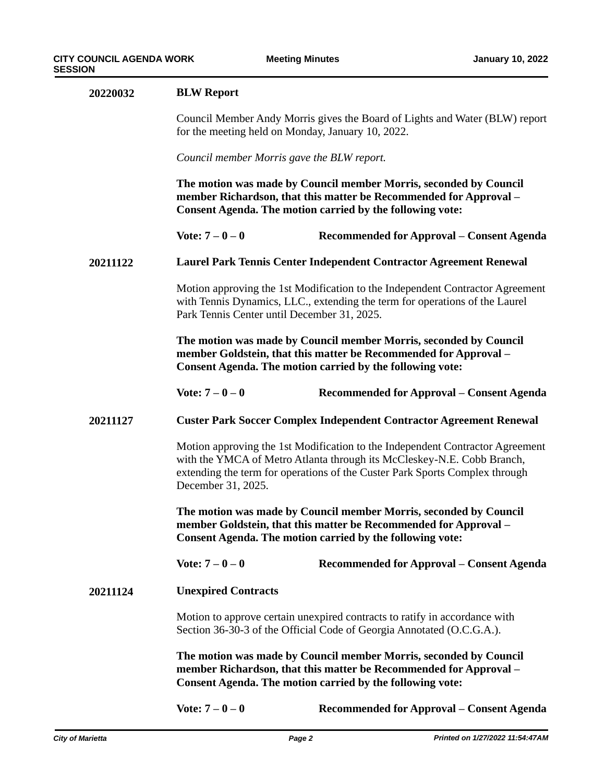| 20220032 | <b>BLW Report</b><br>Council Member Andy Morris gives the Board of Lights and Water (BLW) report<br>for the meeting held on Monday, January 10, 2022.                                                                                                        |                                                                            |  |
|----------|--------------------------------------------------------------------------------------------------------------------------------------------------------------------------------------------------------------------------------------------------------------|----------------------------------------------------------------------------|--|
|          |                                                                                                                                                                                                                                                              |                                                                            |  |
|          | Council member Morris gave the BLW report.                                                                                                                                                                                                                   |                                                                            |  |
|          | The motion was made by Council member Morris, seconded by Council<br>member Richardson, that this matter be Recommended for Approval -<br><b>Consent Agenda. The motion carried by the following vote:</b>                                                   |                                                                            |  |
|          | Vote: $7 - 0 - 0$                                                                                                                                                                                                                                            | Recommended for Approval – Consent Agenda                                  |  |
| 20211122 | Laurel Park Tennis Center Independent Contractor Agreement Renewal                                                                                                                                                                                           |                                                                            |  |
|          | Motion approving the 1st Modification to the Independent Contractor Agreement<br>with Tennis Dynamics, LLC., extending the term for operations of the Laurel<br>Park Tennis Center until December 31, 2025.                                                  |                                                                            |  |
|          | The motion was made by Council member Morris, seconded by Council<br>member Goldstein, that this matter be Recommended for Approval –<br><b>Consent Agenda. The motion carried by the following vote:</b>                                                    |                                                                            |  |
|          | Vote: $7 - 0 - 0$                                                                                                                                                                                                                                            | Recommended for Approval – Consent Agenda                                  |  |
| 20211127 |                                                                                                                                                                                                                                                              | <b>Custer Park Soccer Complex Independent Contractor Agreement Renewal</b> |  |
|          | Motion approving the 1st Modification to the Independent Contractor Agreement<br>with the YMCA of Metro Atlanta through its McCleskey-N.E. Cobb Branch,<br>extending the term for operations of the Custer Park Sports Complex through<br>December 31, 2025. |                                                                            |  |
|          | The motion was made by Council member Morris, seconded by Council<br>member Goldstein, that this matter be Recommended for Approval –<br><b>Consent Agenda. The motion carried by the following vote:</b>                                                    |                                                                            |  |
|          | Vote: $7 - 0 - 0$                                                                                                                                                                                                                                            | Recommended for Approval – Consent Agenda                                  |  |
| 20211124 | <b>Unexpired Contracts</b>                                                                                                                                                                                                                                   |                                                                            |  |
|          | Motion to approve certain unexpired contracts to ratify in accordance with<br>Section 36-30-3 of the Official Code of Georgia Annotated (O.C.G.A.).                                                                                                          |                                                                            |  |
|          | The motion was made by Council member Morris, seconded by Council<br>member Richardson, that this matter be Recommended for Approval –<br><b>Consent Agenda. The motion carried by the following vote:</b>                                                   |                                                                            |  |
|          | Vote: $7 - 0 - 0$                                                                                                                                                                                                                                            | Recommended for Approval – Consent Agenda                                  |  |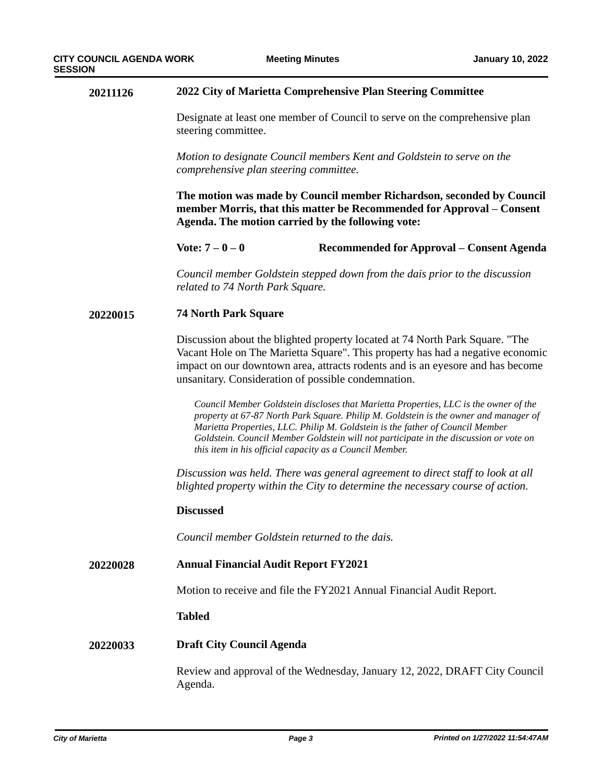#### **20211126 2022 City of Marietta Comprehensive Plan Steering Committee**

Designate at least one member of Council to serve on the comprehensive plan steering committee.

*Motion to designate Council members Kent and Goldstein to serve on the comprehensive plan steering committee.*

**The motion was made by Council member Richardson, seconded by Council member Morris, that this matter be Recommended for Approval – Consent Agenda. The motion carried by the following vote:**

**Vote: 7 – 0 – 0 Recommended for Approval – Consent Agenda**

*Council member Goldstein stepped down from the dais prior to the discussion related to 74 North Park Square.*

#### **20220015 74 North Park Square**

Discussion about the blighted property located at 74 North Park Square. "The Vacant Hole on The Marietta Square". This property has had a negative economic impact on our downtown area, attracts rodents and is an eyesore and has become unsanitary. Consideration of possible condemnation.

*Council Member Goldstein discloses that Marietta Properties, LLC is the owner of the property at 67-87 North Park Square. Philip M. Goldstein is the owner and manager of Marietta Properties, LLC. Philip M. Goldstein is the father of Council Member Goldstein. Council Member Goldstein will not participate in the discussion or vote on this item in his official capacity as a Council Member.*

*Discussion was held. There was general agreement to direct staff to look at all blighted property within the City to determine the necessary course of action.*

#### **Discussed**

*Council member Goldstein returned to the dais.*

#### **20220028 Annual Financial Audit Report FY2021**

Motion to receive and file the FY2021 Annual Financial Audit Report.

#### **Tabled**

#### **20220033 Draft City Council Agenda**

Review and approval of the Wednesday, January 12, 2022, DRAFT City Council Agenda.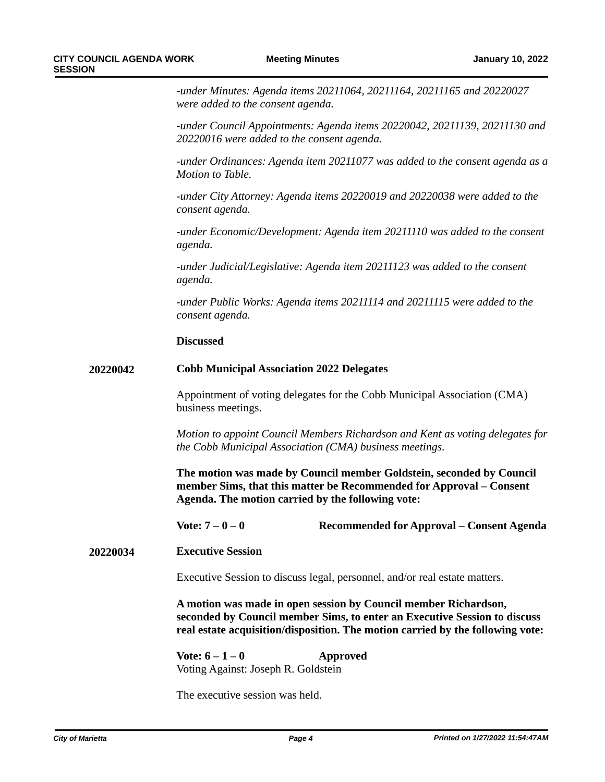*-under Minutes: Agenda items 20211064, 20211164, 20211165 and 20220027 were added to the consent agenda.*

*-under Council Appointments: Agenda items 20220042, 20211139, 20211130 and 20220016 were added to the consent agenda.*

*-under Ordinances: Agenda item 20211077 was added to the consent agenda as a Motion to Table.*

*-under City Attorney: Agenda items 20220019 and 20220038 were added to the consent agenda.*

*-under Economic/Development: Agenda item 20211110 was added to the consent agenda.*

*-under Judicial/Legislative: Agenda item 20211123 was added to the consent agenda.*

*-under Public Works: Agenda items 20211114 and 20211115 were added to the consent agenda.*

#### **Discussed**

#### **20220042 Cobb Municipal Association 2022 Delegates**

Appointment of voting delegates for the Cobb Municipal Association (CMA) business meetings.

*Motion to appoint Council Members Richardson and Kent as voting delegates for the Cobb Municipal Association (CMA) business meetings.*

**The motion was made by Council member Goldstein, seconded by Council member Sims, that this matter be Recommended for Approval – Consent Agenda. The motion carried by the following vote:**

**Vote: 7 – 0 – 0 Recommended for Approval – Consent Agenda**

**20220034 Executive Session**

Executive Session to discuss legal, personnel, and/or real estate matters.

**A motion was made in open session by Council member Richardson, seconded by Council member Sims, to enter an Executive Session to discuss real estate acquisition/disposition. The motion carried by the following vote:**

**Vote: 6 – 1 – 0 Approved** Voting Against: Joseph R. Goldstein

The executive session was held.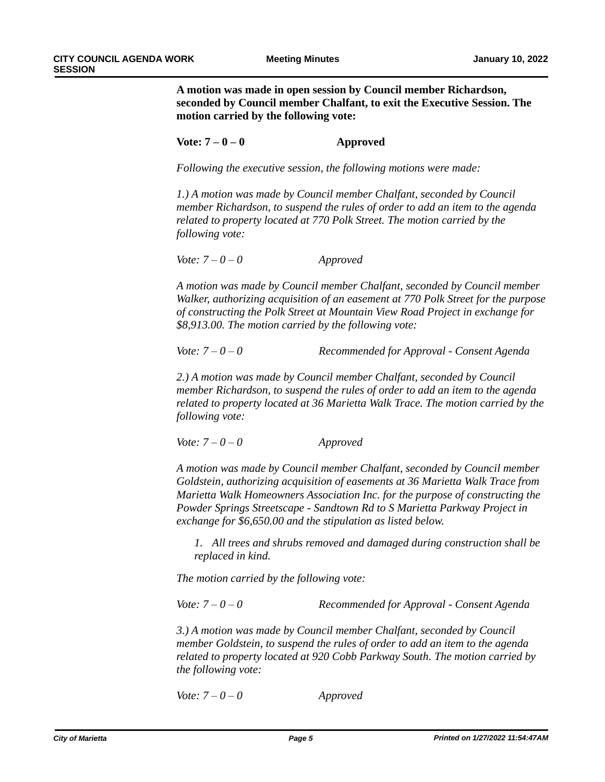**A motion was made in open session by Council member Richardson, seconded by Council member Chalfant, to exit the Executive Session. The motion carried by the following vote:** 

#### **Vote: 7 – 0 – 0 Approved**

*Following the executive session, the following motions were made:*

*1.) A motion was made by Council member Chalfant, seconded by Council member Richardson, to suspend the rules of order to add an item to the agenda related to property located at 770 Polk Street. The motion carried by the following vote:*

*Vote: 7 – 0 – 0 Approved*

*A motion was made by Council member Chalfant, seconded by Council member Walker, authorizing acquisition of an easement at 770 Polk Street for the purpose of constructing the Polk Street at Mountain View Road Project in exchange for \$8,913.00. The motion carried by the following vote:*

*Vote: 7 – 0 – 0 Recommended for Approval - Consent Agenda*

*2.) A motion was made by Council member Chalfant, seconded by Council member Richardson, to suspend the rules of order to add an item to the agenda related to property located at 36 Marietta Walk Trace. The motion carried by the following vote:*

*Vote: 7 – 0 – 0 Approved*

*A motion was made by Council member Chalfant, seconded by Council member Goldstein, authorizing acquisition of easements at 36 Marietta Walk Trace from Marietta Walk Homeowners Association Inc. for the purpose of constructing the Powder Springs Streetscape - Sandtown Rd to S Marietta Parkway Project in exchange for \$6,650.00 and the stipulation as listed below.*

*1. All trees and shrubs removed and damaged during construction shall be replaced in kind.* 

*The motion carried by the following vote:*

*Vote: 7 – 0 – 0 Recommended for Approval - Consent Agenda*

*3.) A motion was made by Council member Chalfant, seconded by Council member Goldstein, to suspend the rules of order to add an item to the agenda related to property located at 920 Cobb Parkway South. The motion carried by the following vote:*

*Vote: 7 – 0 – 0 Approved*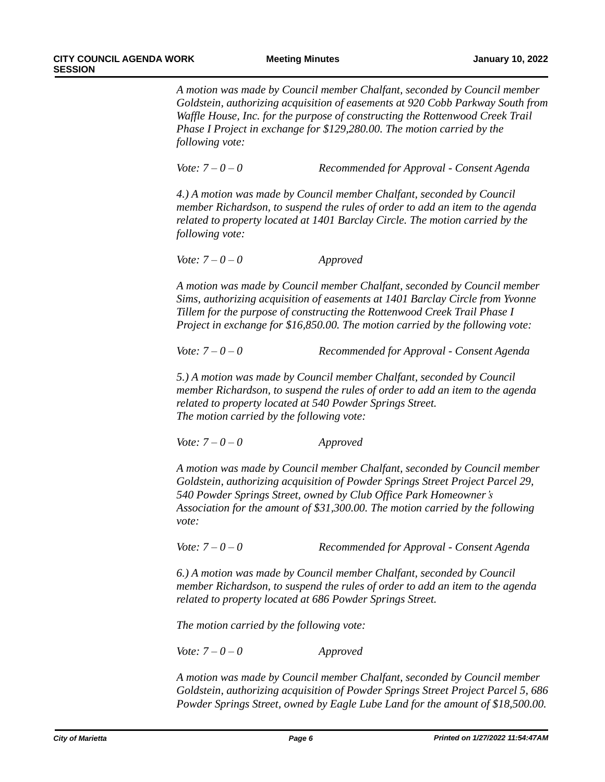*A motion was made by Council member Chalfant, seconded by Council member Goldstein, authorizing acquisition of easements at 920 Cobb Parkway South from Waffle House, Inc. for the purpose of constructing the Rottenwood Creek Trail Phase I Project in exchange for \$129,280.00. The motion carried by the following vote:*

*Vote: 7 – 0 – 0 Recommended for Approval - Consent Agenda*

*4.) A motion was made by Council member Chalfant, seconded by Council member Richardson, to suspend the rules of order to add an item to the agenda related to property located at 1401 Barclay Circle. The motion carried by the following vote:*

*Vote: 7 – 0 – 0 Approved*

*A motion was made by Council member Chalfant, seconded by Council member Sims, authorizing acquisition of easements at 1401 Barclay Circle from Yvonne Tillem for the purpose of constructing the Rottenwood Creek Trail Phase I Project in exchange for \$16,850.00. The motion carried by the following vote:*

*Vote: 7 – 0 – 0 Recommended for Approval - Consent Agenda*

*5.) A motion was made by Council member Chalfant, seconded by Council member Richardson, to suspend the rules of order to add an item to the agenda related to property located at 540 Powder Springs Street. The motion carried by the following vote:*

*Vote: 7 – 0 – 0 Approved*

*A motion was made by Council member Chalfant, seconded by Council member Goldstein, authorizing acquisition of Powder Springs Street Project Parcel 29, 540 Powder Springs Street, owned by Club Office Park Homeowner's Association for the amount of \$31,300.00. The motion carried by the following vote:*

*Vote: 7 – 0 – 0 Recommended for Approval - Consent Agenda*

*6.) A motion was made by Council member Chalfant, seconded by Council member Richardson, to suspend the rules of order to add an item to the agenda related to property located at 686 Powder Springs Street.* 

*The motion carried by the following vote:*

*Vote: 7 – 0 – 0 Approved*

*A motion was made by Council member Chalfant, seconded by Council member Goldstein, authorizing acquisition of Powder Springs Street Project Parcel 5, 686 Powder Springs Street, owned by Eagle Lube Land for the amount of \$18,500.00.*